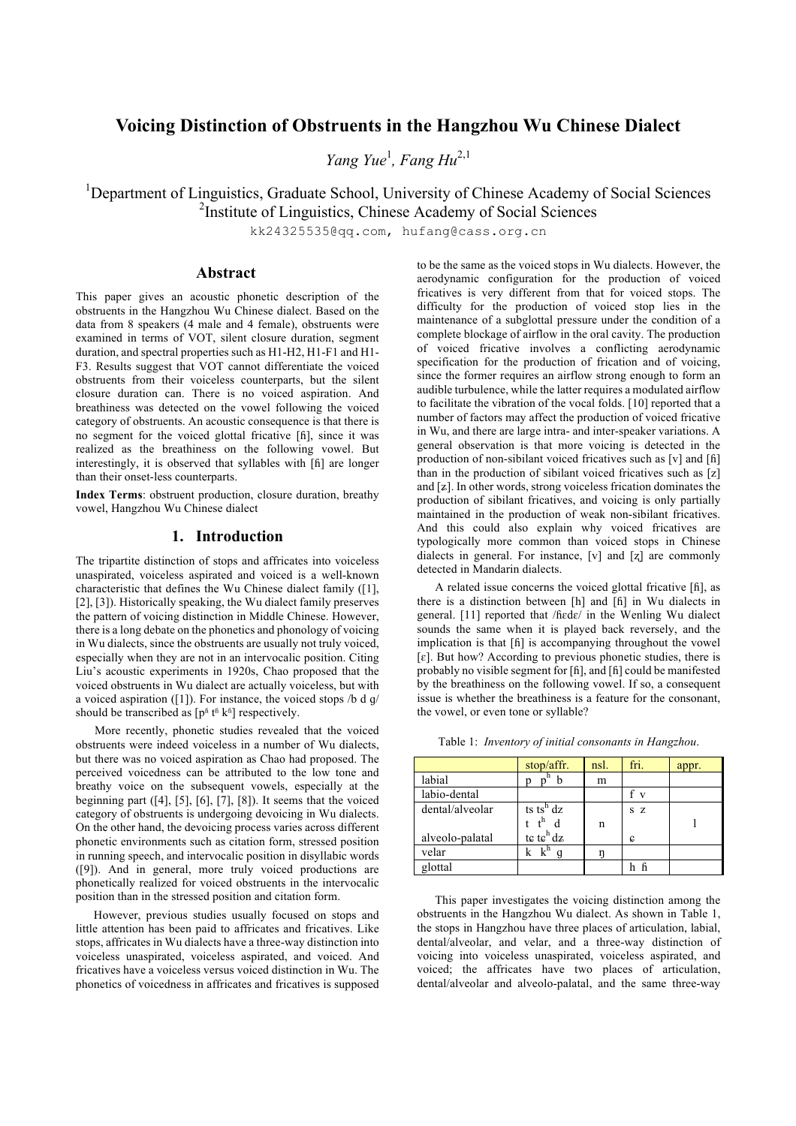# **Voicing Distinction of Obstruents in the Hangzhou Wu Chinese Dialect**

*Yang Yue<sup>1</sup>*, *Fang Hu*<sup>2,1</sup>

<sup>1</sup>Department of Linguistics, Graduate School, University of Chinese Academy of Social Sciences <sup>2</sup>Institute of Linguistics, Chinese Academy of Social Sciences

kk24325535@qq.com, hufang@cass.org.cn

## **Abstract**

This paper gives an acoustic phonetic description of the obstruents in the Hangzhou Wu Chinese dialect. Based on the data from 8 speakers (4 male and 4 female), obstruents were examined in terms of VOT, silent closure duration, segment duration, and spectral properties such as H1-H2, H1-F1 and H1- F3. Results suggest that VOT cannot differentiate the voiced obstruents from their voiceless counterparts, but the silent closure duration can. There is no voiced aspiration. And breathiness was detected on the vowel following the voiced category of obstruents. An acoustic consequence is that there is no segment for the voiced glottal fricative [ɦ], since it was realized as the breathiness on the following vowel. But interestingly, it is observed that syllables with [ɦ] are longer than their onset-less counterparts.

**Index Terms**: obstruent production, closure duration, breathy vowel, Hangzhou Wu Chinese dialect

# **1. Introduction**

The tripartite distinction of stops and affricates into voiceless unaspirated, voiceless aspirated and voiced is a well-known characteristic that defines the Wu Chinese dialect family ([1], [2], [3]). Historically speaking, the Wu dialect family preserves the pattern of voicing distinction in Middle Chinese. However, there is a long debate on the phonetics and phonology of voicing in Wu dialects, since the obstruents are usually not truly voiced, especially when they are not in an intervocalic position. Citing Liu's acoustic experiments in 1920s, Chao proposed that the voiced obstruents in Wu dialect are actually voiceless, but with a voiced aspiration ([1]). For instance, the voiced stops  $/b \, d \, g$ should be transcribed as  $[p^{\text{fi}}]$  t<sup> $\text{fi}$ </sup> k $^{\text{fi}}$ ] respectively.

More recently, phonetic studies revealed that the voiced obstruents were indeed voiceless in a number of Wu dialects, but there was no voiced aspiration as Chao had proposed. The perceived voicedness can be attributed to the low tone and breathy voice on the subsequent vowels, especially at the beginning part  $([4], [5], [6], [7], [8])$ . It seems that the voiced category of obstruents is undergoing devoicing in Wu dialects. On the other hand, the devoicing process varies across different phonetic environments such as citation form, stressed position in running speech, and intervocalic position in disyllabic words ([9]). And in general, more truly voiced productions are phonetically realized for voiced obstruents in the intervocalic position than in the stressed position and citation form.

However, previous studies usually focused on stops and little attention has been paid to affricates and fricatives. Like stops, affricates in Wu dialects have a three-way distinction into voiceless unaspirated, voiceless aspirated, and voiced. And fricatives have a voiceless versus voiced distinction in Wu. The phonetics of voicedness in affricates and fricatives is supposed

to be the same as the voiced stops in Wu dialects. However, the aerodynamic configuration for the production of voiced fricatives is very different from that for voiced stops. The difficulty for the production of voiced stop lies in the maintenance of a subglottal pressure under the condition of a complete blockage of airflow in the oral cavity. The production of voiced fricative involves a conflicting aerodynamic specification for the production of frication and of voicing, since the former requires an airflow strong enough to form an audible turbulence, while the latter requires a modulated airflow to facilitate the vibration of the vocal folds. [10] reported that a number of factors may affect the production of voiced fricative in Wu, and there are large intra- and inter-speaker variations. A general observation is that more voicing is detected in the production of non-sibilant voiced fricatives such as [v] and [ɦ] than in the production of sibilant voiced fricatives such as [z] and [ʑ]. In other words, strong voiceless frication dominates the production of sibilant fricatives, and voicing is only partially maintained in the production of weak non-sibilant fricatives. And this could also explain why voiced fricatives are typologically more common than voiced stops in Chinese dialects in general. For instance, [v] and [ʐ] are commonly detected in Mandarin dialects.

A related issue concerns the voiced glottal fricative [ɦ], as there is a distinction between [h] and [ɦ] in Wu dialects in general. [11] reported that /ɦɛdɛ/ in the Wenling Wu dialect sounds the same when it is played back reversely, and the implication is that [ɦ] is accompanying throughout the vowel [ɛ]. But how? According to previous phonetic studies, there is probably no visible segment for [ɦ], and [ɦ] could be manifested by the breathiness on the following vowel. If so, a consequent issue is whether the breathiness is a feature for the consonant, the vowel, or even tone or syllable?

|                 | stop/affr.            | nsl. | fri.         | appr. |
|-----------------|-----------------------|------|--------------|-------|
| labial          |                       | m    |              |       |
| labio-dental    |                       |      | $\mathbf{V}$ |       |
| dental/alveolar | ts ts <sup>h</sup> dz |      | S Z          |       |
|                 |                       | n    |              |       |
| alveolo-palatal | te te $h$ dz          |      | G            |       |
| velar           |                       |      |              |       |
| glottal         |                       |      |              |       |

Table 1: *Inventory of initial consonants in Hangzhou*.

This paper investigates the voicing distinction among the obstruents in the Hangzhou Wu dialect. As shown in Table 1, the stops in Hangzhou have three places of articulation, labial, dental/alveolar, and velar, and a three-way distinction of voicing into voiceless unaspirated, voiceless aspirated, and voiced; the affricates have two places of articulation, dental/alveolar and alveolo-palatal, and the same three-way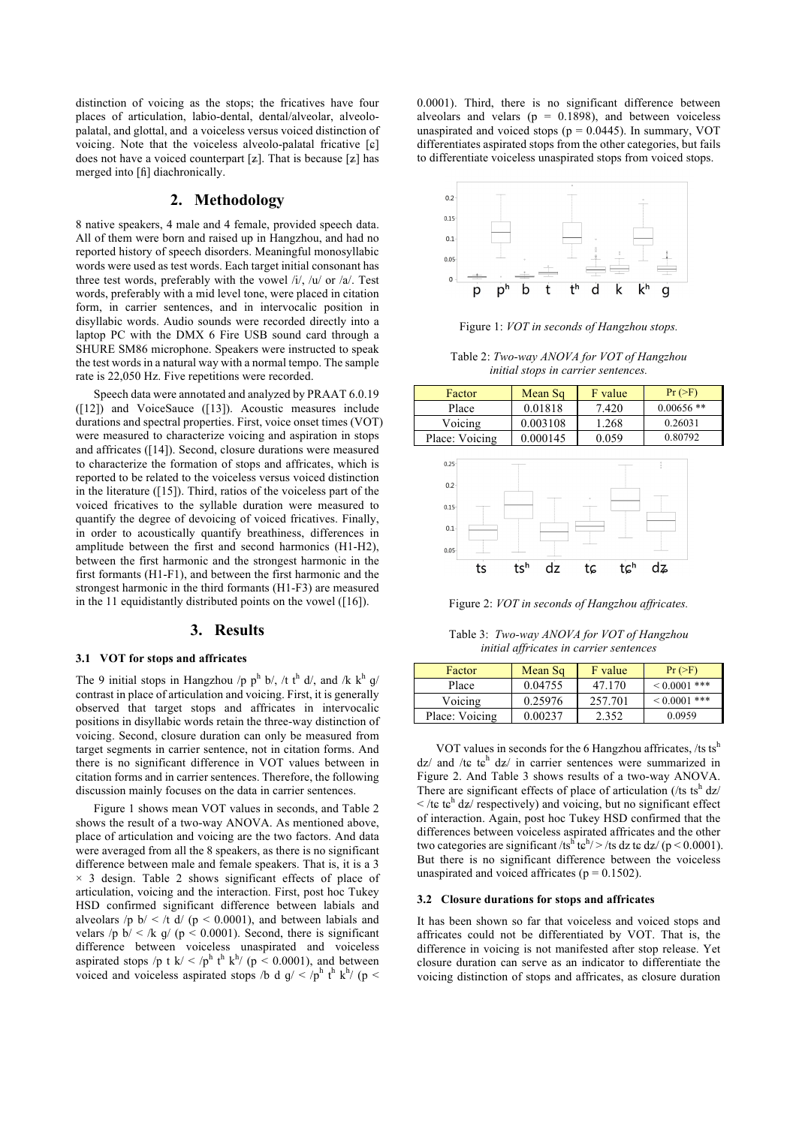distinction of voicing as the stops; the fricatives have four places of articulation, labio-dental, dental/alveolar, alveolopalatal, and glottal, and a voiceless versus voiced distinction of voicing. Note that the voiceless alveolo-palatal fricative [ɕ] does not have a voiced counterpart  $[z]$ . That is because  $[z]$  has merged into [ɦ] diachronically.

### **2. Methodology**

8 native speakers, 4 male and 4 female, provided speech data. All of them were born and raised up in Hangzhou, and had no reported history of speech disorders. Meaningful monosyllabic words were used as test words. Each target initial consonant has three test words, preferably with the vowel /i/, /u/ or /a/. Test words, preferably with a mid level tone, were placed in citation form, in carrier sentences, and in intervocalic position in disyllabic words. Audio sounds were recorded directly into a laptop PC with the DMX 6 Fire USB sound card through a SHURE SM86 microphone. Speakers were instructed to speak the test words in a natural way with a normal tempo. The sample rate is 22,050 Hz. Five repetitions were recorded.

Speech data were annotated and analyzed by PRAAT 6.0.19 ([12]) and VoiceSauce ([13]). Acoustic measures include durations and spectral properties. First, voice onset times (VOT) were measured to characterize voicing and aspiration in stops and affricates ([14]). Second, closure durations were measured to characterize the formation of stops and affricates, which is reported to be related to the voiceless versus voiced distinction in the literature ([15]). Third, ratios of the voiceless part of the voiced fricatives to the syllable duration were measured to quantify the degree of devoicing of voiced fricatives. Finally, in order to acoustically quantify breathiness, differences in amplitude between the first and second harmonics (H1-H2), between the first harmonic and the strongest harmonic in the first formants (H1-F1), and between the first harmonic and the strongest harmonic in the third formants (H1-F3) are measured in the 11 equidistantly distributed points on the vowel ([16]).

### **3. Results**

### **3.1 VOT for stops and affricates**

The 9 initial stops in Hangzhou /p  $p^h$  b/, /t  $t^h$  d/, and /k  $k^h$  g/ contrast in place of articulation and voicing. First, it is generally observed that target stops and affricates in intervocalic positions in disyllabic words retain the three-way distinction of voicing. Second, closure duration can only be measured from target segments in carrier sentence, not in citation forms. And there is no significant difference in VOT values between in citation forms and in carrier sentences. Therefore, the following discussion mainly focuses on the data in carrier sentences.

Figure 1 shows mean VOT values in seconds, and Table 2 shows the result of a two-way ANOVA. As mentioned above, place of articulation and voicing are the two factors. And data were averaged from all the 8 speakers, as there is no significant difference between male and female speakers. That is, it is a 3  $\times$  3 design. Table 2 shows significant effects of place of articulation, voicing and the interaction. First, post hoc Tukey HSD confirmed significant difference between labials and alveolars /p  $b$ / < /t d/ (p < 0.0001), and between labials and velars /p  $b$ / < /k g/ (p < 0.0001). Second, there is significant difference between voiceless unaspirated and voiceless aspirated stops /p t k/  $\langle p^h t^h k^h \rangle$  (p  $\langle 0.0001$ ), and between voiced and voiceless aspirated stops /b d  $g$ / < /p<sup>h</sup> t<sup>h</sup> k<sup>h</sup>/ (p < 0.0001). Third, there is no significant difference between alveolars and velars ( $p = 0.1898$ ), and between voiceless unaspirated and voiced stops ( $p = 0.0445$ ). In summary, VOT differentiates aspirated stops from the other categories, but fails to differentiate voiceless unaspirated stops from voiced stops.



Figure 1: *VOT in seconds of Hangzhou stops.*

Table 2: *Two-way ANOVA for VOT of Hangzhou initial stops in carrier sentences.*

| Factor         | Mean Sq  | F value | Pr (>F)      |
|----------------|----------|---------|--------------|
| Place          | 0.01818  | 7.420   | $0.00656$ ** |
| Voicing        | 0.003108 | 1.268   | 0.26031      |
| Place: Voicing | 0.000145 | 0.059   | 0.80792      |



Figure 2: *VOT in seconds of Hangzhou affricates.*

Table 3: *Two-way ANOVA for VOT of Hangzhou initial affricates in carrier sentences*

| Factor         | Mean Sq | F value | Pr (>F)      |
|----------------|---------|---------|--------------|
| Place          | 0.04755 | 47.170  | $0.0001$ *** |
| Voicing        | 0.25976 | 257.701 | $0.0001$ *** |
| Place: Voicing | 0.00237 | 2.352   | 0.0959       |

VOT values in seconds for the 6 Hangzhou affricates, /ts tsh  $dz/$  and /t $\varepsilon$  t $\varepsilon$ <sup>h</sup>  $dz/$  in carrier sentences were summarized in Figure 2. And Table 3 shows results of a two-way ANOVA. There are significant effects of place of articulation (/ts ts<sup>h</sup> dz/  $\frac{1}{\epsilon}$  te te<sup>h</sup> dz/ respectively) and voicing, but no significant effect of interaction. Again, post hoc Tukey HSD confirmed that the differences between voiceless aspirated affricates and the other two categories are significant /ts<sup>h t<sub>c</sub>h/>/ts dz te dz/ (p < 0.0001).</sup> But there is no significant difference between the voiceless unaspirated and voiced affricates ( $p = 0.1502$ ).

#### **3.2 Closure durations for stops and affricates**

It has been shown so far that voiceless and voiced stops and affricates could not be differentiated by VOT. That is, the difference in voicing is not manifested after stop release. Yet closure duration can serve as an indicator to differentiate the voicing distinction of stops and affricates, as closure duration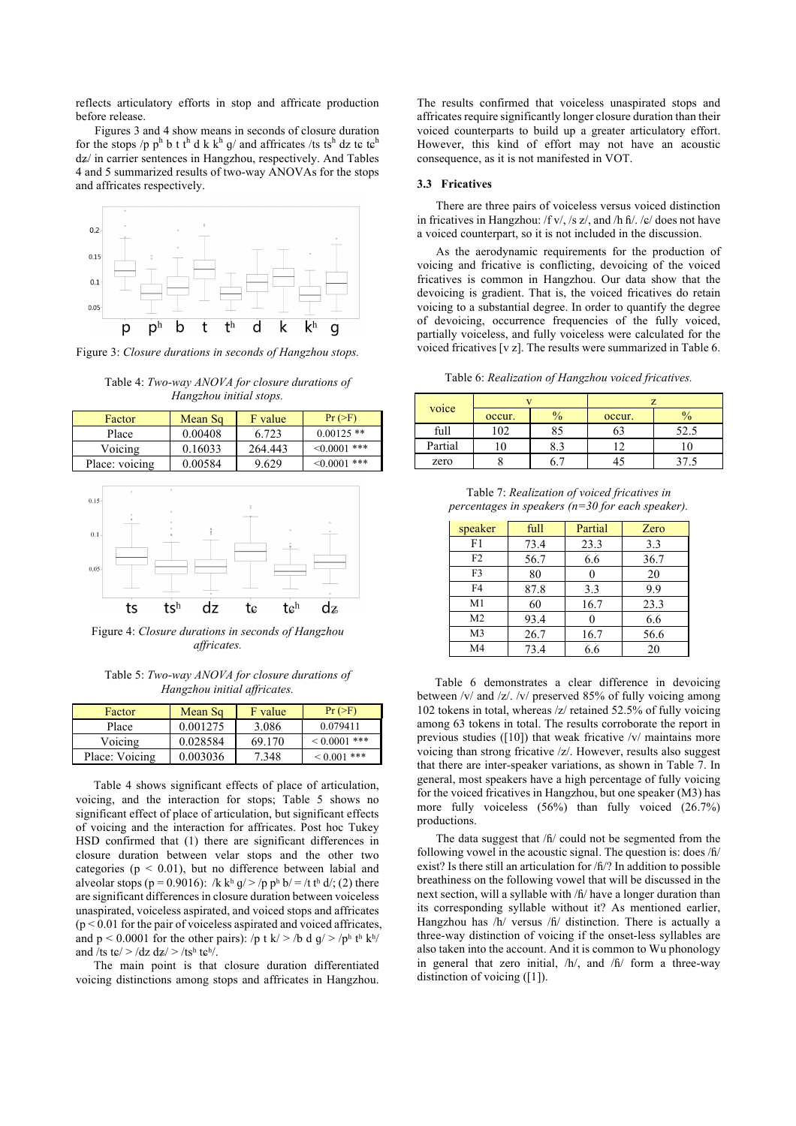reflects articulatory efforts in stop and affricate production before release.

Figures 3 and 4 show means in seconds of closure duration for the stops /p  $p^h$  b t t<sup>h</sup> d k k<sup>h</sup> g/ and affricates /ts ts<sup>h</sup> dz te te<sup>h</sup> dʑ/ in carrier sentences in Hangzhou, respectively. And Tables 4 and 5 summarized results of two-way ANOVAs for the stops and affricates respectively.



Figure 3: *Closure durations in seconds of Hangzhou stops.*

Table 4: *Two-way ANOVA for closure durations of Hangzhou initial stops.*

| Factor         | Mean Sq | F value | Pr (>F)           |
|----------------|---------|---------|-------------------|
| Place          | 0.00408 | 6.723   | $0.00125$ **      |
| Voicing        | 0.16033 | 264.443 | $\leq 0.0001$ *** |
| Place: voicing | 0.00584 | 9.629   | $\leq 0.0001$ *** |



Figure 4: *Closure durations in seconds of Hangzhou affricates.*

Table 5: *Two-way ANOVA for closure durations of Hangzhou initial affricates.*

| Factor         | Mean Sq  | F value | Pr (>F)      |
|----------------|----------|---------|--------------|
| Place          | 0.001275 | 3.086   | 0.079411     |
| Voicing        | 0.028584 | 69.170  | $0.0001$ *** |
| Place: Voicing | 0.003036 | 7.348   | $0.001$ ***  |

Table 4 shows significant effects of place of articulation, voicing, and the interaction for stops; Table 5 shows no significant effect of place of articulation, but significant effects of voicing and the interaction for affricates. Post hoc Tukey HSD confirmed that (1) there are significant differences in closure duration between velar stops and the other two categories ( $p < 0.01$ ), but no difference between labial and alveolar stops (p = 0.9016): /k kʰ g/>/p pʰ b/ = /t tʰ d/; (2) there are significant differences in closure duration between voiceless unaspirated, voiceless aspirated, and voiced stops and affricates  $(p < 0.01$  for the pair of voiceless aspirated and voiced affricates, and  $p < 0.0001$  for the other pairs): /p t k/ > /b d g/ > /ph th kh/ and /ts t $\varepsilon$ / > /dz dz/ > /tsh t $\varepsilon$ h/.

The main point is that closure duration differentiated voicing distinctions among stops and affricates in Hangzhou. The results confirmed that voiceless unaspirated stops and affricates require significantly longer closure duration than their voiced counterparts to build up a greater articulatory effort. However, this kind of effort may not have an acoustic consequence, as it is not manifested in VOT.

### **3.3 Fricatives**

There are three pairs of voiceless versus voiced distinction in fricatives in Hangzhou: /f v/, /s z/, and /h ɦ/. /ɕ/ does not have a voiced counterpart, so it is not included in the discussion.

As the aerodynamic requirements for the production of voicing and fricative is conflicting, devoicing of the voiced fricatives is common in Hangzhou. Our data show that the devoicing is gradient. That is, the voiced fricatives do retain voicing to a substantial degree. In order to quantify the degree of devoicing, occurrence frequencies of the fully voiced, partially voiceless, and fully voiceless were calculated for the voiced fricatives [v z]. The results were summarized in Table 6.

Table 6: *Realization of Hangzhou voiced fricatives.*

| voice   | occur. | $\frac{0}{0}$ | occur. | ∕ ∩  |
|---------|--------|---------------|--------|------|
| full    | 02     | 85            |        | 52.5 |
| Partial |        | 0. .          |        |      |
| zero    |        |               |        |      |

Table 7: *Realization of voiced fricatives in percentages in speakers (n=30 for each speaker).*

| speaker        | full | Partial | Zero |
|----------------|------|---------|------|
| F1             | 73.4 | 23.3    | 3.3  |
| F2             | 56.7 | 6.6     | 36.7 |
| F3             | 80   | 0       | 20   |
| F4             | 87.8 | 3.3     | 9.9  |
| M1             | 60   | 16.7    | 23.3 |
| M <sub>2</sub> | 93.4 |         | 6.6  |
| M <sub>3</sub> | 26.7 | 16.7    | 56.6 |
| M4             | 73.4 | 6.6     | 20   |

Table 6 demonstrates a clear difference in devoicing between /v/ and /z/. /v/ preserved 85% of fully voicing among 102 tokens in total, whereas /z/ retained 52.5% of fully voicing among 63 tokens in total. The results corroborate the report in previous studies ([10]) that weak fricative /v/ maintains more voicing than strong fricative /z/. However, results also suggest that there are inter-speaker variations, as shown in Table 7. In general, most speakers have a high percentage of fully voicing for the voiced fricatives in Hangzhou, but one speaker (M3) has more fully voiceless (56%) than fully voiced (26.7%) productions.

The data suggest that /ɦ/ could not be segmented from the following vowel in the acoustic signal. The question is: does /ɦ/ exist? Is there still an articulation for /ɦ/? In addition to possible breathiness on the following vowel that will be discussed in the next section, will a syllable with /ɦ/ have a longer duration than its corresponding syllable without it? As mentioned earlier, Hangzhou has /h/ versus /ɦ/ distinction. There is actually a three-way distinction of voicing if the onset-less syllables are also taken into the account. And it is common to Wu phonology in general that zero initial, /h/, and /ɦ/ form a three-way distinction of voicing ([1]).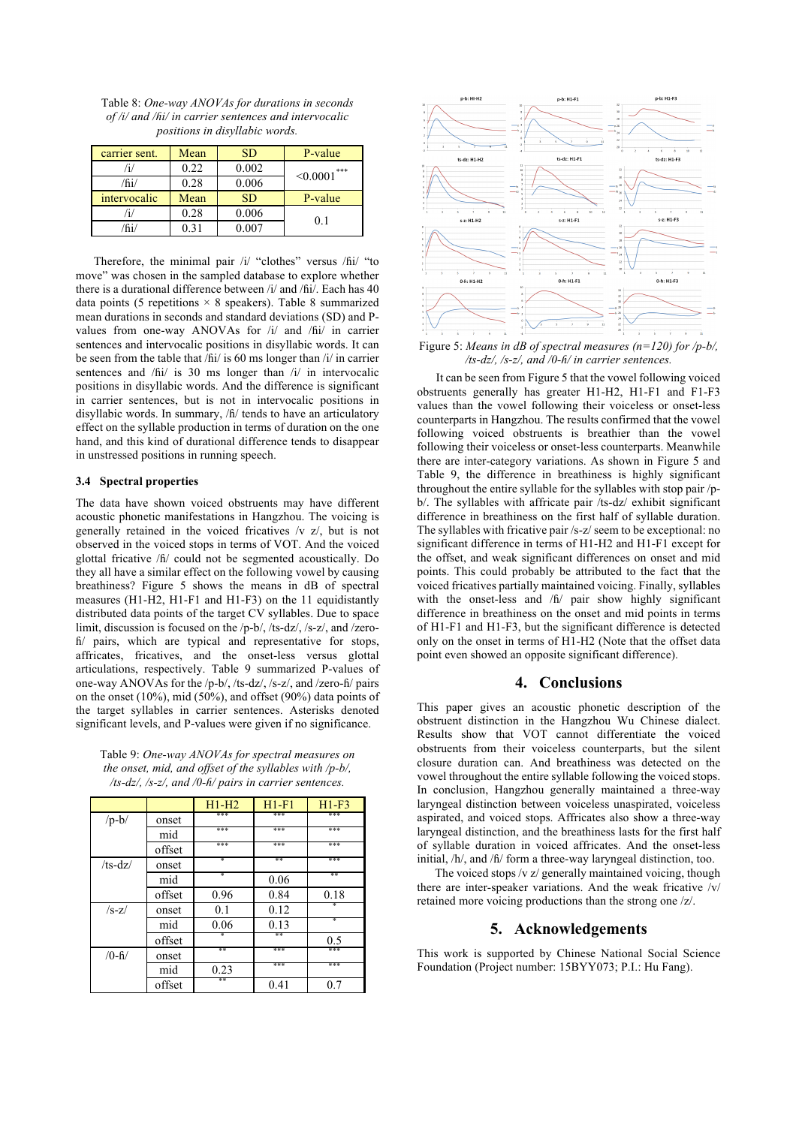Table 8: *One-way ANOVAs for durations in seconds of /i/ and /ɦi/ in carrier sentences and intervocalic positions in disyllabic words.*

| carrier sent. | Mean | <b>SD</b> | P-value           |
|---------------|------|-----------|-------------------|
|               | 0.22 | 0.002     | $\leq 0.0001$ *** |
| /fii/         | 0.28 | 0.006     |                   |
| intervocalic  | Mean | <b>SD</b> | P-value           |
|               | 0.28 | 0.006     | $\Omega$ 1        |
| ĥi.           | 0.31 | $0.007\,$ |                   |

Therefore, the minimal pair /i/ "clothes" versus /ɦi/ "to move" was chosen in the sampled database to explore whether there is a durational difference between /i/ and /ɦi/. Each has 40 data points (5 repetitions  $\times$  8 speakers). Table 8 summarized mean durations in seconds and standard deviations (SD) and Pvalues from one-way ANOVAs for /i/ and /fii/ in carrier sentences and intervocalic positions in disyllabic words. It can be seen from the table that /ɦi/ is 60 ms longer than /i/ in carrier sentences and  $/hi/$  is 30 ms longer than  $/i/$  in intervocalic positions in disyllabic words. And the difference is significant in carrier sentences, but is not in intervocalic positions in disyllabic words. In summary, /ɦ/ tends to have an articulatory effect on the syllable production in terms of duration on the one hand, and this kind of durational difference tends to disappear in unstressed positions in running speech.

### **3.4 Spectral properties**

The data have shown voiced obstruents may have different acoustic phonetic manifestations in Hangzhou. The voicing is generally retained in the voiced fricatives /v z/, but is not observed in the voiced stops in terms of VOT. And the voiced glottal fricative /ɦ/ could not be segmented acoustically. Do they all have a similar effect on the following vowel by causing breathiness? Figure 5 shows the means in dB of spectral measures (H1-H2, H1-F1 and H1-F3) on the 11 equidistantly distributed data points of the target CV syllables. Due to space limit, discussion is focused on the /p-b/, /ts-dz/, /s-z/, and /zeroɦ/ pairs, which are typical and representative for stops, affricates, fricatives, and the onset-less versus glottal articulations, respectively. Table 9 summarized P-values of one-way ANOVAs for the /p-b/, /ts-dz/, /s-z/, and /zero-ɦ/ pairs on the onset (10%), mid (50%), and offset (90%) data points of the target syllables in carrier sentences. Asterisks denoted significant levels, and P-values were given if no significance.

| Table 9: One-way ANOVAs for spectral measures on           |
|------------------------------------------------------------|
| the onset, mid, and offset of the syllables with $/p-b/$ , |
| /ts-dz/, /s-z/, and /0-h/ pairs in carrier sentences.      |

|                    |        | $H1-H2$ | $H1-F1$ | $H1-F3$ |
|--------------------|--------|---------|---------|---------|
| $/p-b/$            | onset  | ***     | ***     | ***     |
|                    | mid    | ***     | ***     | ***     |
|                    | offset | ***     | ***     | ***     |
| $/ts-dz/$          | onset  | ∗       | **      | ***     |
|                    | mid    | ∗       | 0.06    | **      |
|                    | offset | 0.96    | 0.84    | 0.18    |
| $/s-z/$            | onset  | 0.1     | 0.12    |         |
|                    | mid    | 0.06    | 0.13    | ¥       |
|                    | offset | ŵ       | **      | 0.5     |
| $/0 - \frac{1}{2}$ | onset  | **      | ***     | ***     |
|                    | mid    | 0.23    | ***     | ***     |
|                    | offset | **      | 0.41    | 0.7     |



Figure 5: *Means in dB of spectral measures (n=120) for /p-b/, /ts-dz/, /s-z/, and /0-ɦ/ in carrier sentences.*

It can be seen from Figure 5 that the vowel following voiced obstruents generally has greater H1-H2, H1-F1 and F1-F3 values than the vowel following their voiceless or onset-less counterparts in Hangzhou. The results confirmed that the vowel following voiced obstruents is breathier than the vowel following their voiceless or onset-less counterparts. Meanwhile there are inter-category variations. As shown in Figure 5 and Table 9, the difference in breathiness is highly significant throughout the entire syllable for the syllables with stop pair /pb/. The syllables with affricate pair /ts-dz/ exhibit significant difference in breathiness on the first half of syllable duration. The syllables with fricative pair /s-z/ seem to be exceptional: no significant difference in terms of H1-H2 and H1-F1 except for the offset, and weak significant differences on onset and mid points. This could probably be attributed to the fact that the voiced fricatives partially maintained voicing. Finally, syllables with the onset-less and /fi/ pair show highly significant difference in breathiness on the onset and mid points in terms of H1-F1 and H1-F3, but the significant difference is detected only on the onset in terms of H1-H2 (Note that the offset data point even showed an opposite significant difference).

### **4. Conclusions**

This paper gives an acoustic phonetic description of the obstruent distinction in the Hangzhou Wu Chinese dialect. Results show that VOT cannot differentiate the voiced obstruents from their voiceless counterparts, but the silent closure duration can. And breathiness was detected on the vowel throughout the entire syllable following the voiced stops. In conclusion, Hangzhou generally maintained a three-way laryngeal distinction between voiceless unaspirated, voiceless aspirated, and voiced stops. Affricates also show a three-way laryngeal distinction, and the breathiness lasts for the first half of syllable duration in voiced affricates. And the onset-less initial, /h/, and /ɦ/ form a three-way laryngeal distinction, too.

The voiced stops /v z/ generally maintained voicing, though there are inter-speaker variations. And the weak fricative /v/ retained more voicing productions than the strong one /z/.

# **5. Acknowledgements**

This work is supported by Chinese National Social Science Foundation (Project number: 15BYY073; P.I.: Hu Fang).